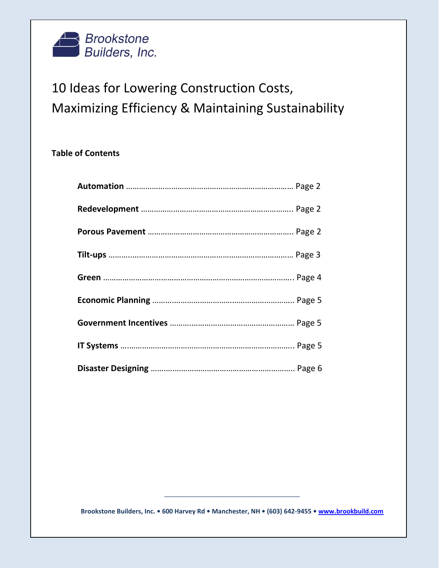

## 10 Ideas for Lowering Construction Costs, Maximizing Efficiency & Maintaining Sustainability

## **Table of Contents**

**Brookstone Builders, Inc. • 600 Harvey Rd • Manchester, NH • (603) 642-9455 • [www.brookbuild.com](http://www.brookbuild.com/)**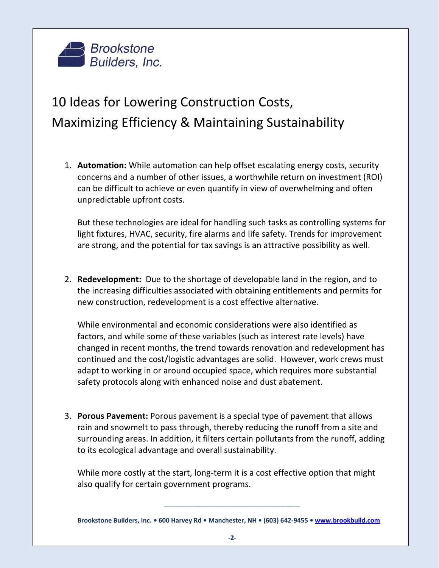

## 10 Ideas for Lowering Construction Costs, Maximizing Efficiency & Maintaining Sustainability

1. **Automation:** While automation can help offset escalating energy costs, security concerns and a number of other issues, a worthwhile return on investment (ROI) can be difficult to achieve or even quantify in view of overwhelming and often unpredictable upfront costs.

But these technologies are ideal for handling such tasks as controlling systems for light fixtures, HVAC, security, fire alarms and life safety. Trends for improvement are strong, and the potential for tax savings is an attractive possibility as well.

2. **Redevelopment:** Due to the shortage of developable land in the region, and to the increasing difficulties associated with obtaining entitlements and permits for new construction, redevelopment is a cost effective alternative.

While environmental and economic considerations were also identified as factors, and while some of these variables (such as interest rate levels) have changed in recent months, the trend towards renovation and redevelopment has continued and the cost/logistic advantages are solid. However, work crews must adapt to working in or around occupied space, which requires more substantial safety protocols along with enhanced noise and dust abatement.

3. **Porous Pavement:** Porous pavement is a special type of pavement that allows rain and snowmelt to pass through, thereby reducing the runoff from a site and surrounding areas. In addition, it filters certain pollutants from the runoff, adding to its ecological advantage and overall sustainability.

While more costly at the start, long-term it is a cost effective option that might also qualify for certain government programs.

**Brookstone Builders, Inc. • 600 Harvey Rd • Manchester, NH • (603) 642-9455 • [www.brookbuild.com](http://www.brookbuild.com/)**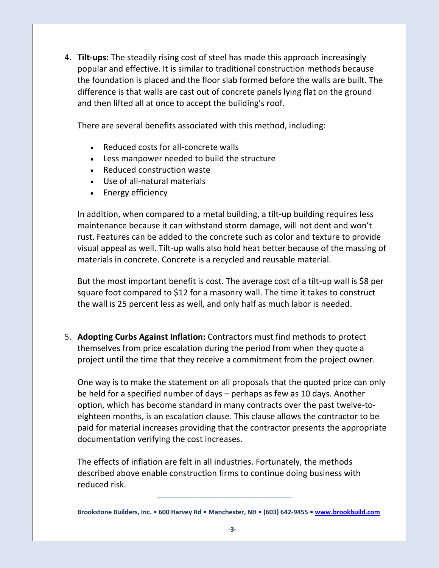4. **Tilt-ups:** The steadily rising cost of steel has made this approach increasingly popular and effective. It is similar to traditional construction methods because the foundation is placed and the floor slab formed before the walls are built. The difference is that walls are cast out of concrete panels lying flat on the ground and then lifted all at once to accept the building's roof.

There are several benefits associated with this method, including:

- Reduced costs for all-concrete walls
- Less manpower needed to build the structure
- Reduced construction waste
- Use of all-natural materials
- Energy efficiency

In addition, when compared to a metal building, a tilt-up building requires less maintenance because it can withstand storm damage, will not dent and won't rust. Features can be added to the concrete such as color and texture to provide visual appeal as well. Tilt-up walls also hold heat better because of the massing of materials in concrete. Concrete is a recycled and reusable material.

But the most important benefit is cost. The average cost of a tilt-up wall is \$8 per square foot compared to \$12 for a masonry wall. The time it takes to construct the wall is 25 percent less as well, and only half as much labor is needed.

5. **Adopting Curbs Against Inflation:** Contractors must find methods to protect themselves from price escalation during the period from when they quote a project until the time that they receive a commitment from the project owner.

One way is to make the statement on all proposals that the quoted price can only be held for a specified number of days – perhaps as few as 10 days. Another option, which has become standard in many contracts over the past twelve-toeighteen months, is an escalation clause. This clause allows the contractor to be paid for material increases providing that the contractor presents the appropriate documentation verifying the cost increases.

The effects of inflation are felt in all industries. Fortunately, the methods described above enable construction firms to continue doing business with reduced risk.

 $\overline{\phantom{a}}$  ,  $\overline{\phantom{a}}$  ,  $\overline{\phantom{a}}$  ,  $\overline{\phantom{a}}$  ,  $\overline{\phantom{a}}$  ,  $\overline{\phantom{a}}$  ,  $\overline{\phantom{a}}$  ,  $\overline{\phantom{a}}$  ,  $\overline{\phantom{a}}$  ,  $\overline{\phantom{a}}$  ,  $\overline{\phantom{a}}$  ,  $\overline{\phantom{a}}$  ,  $\overline{\phantom{a}}$  ,  $\overline{\phantom{a}}$  ,  $\overline{\phantom{a}}$  ,  $\overline{\phantom{a}}$ 

**Brookstone Builders, Inc. • 600 Harvey Rd • Manchester, NH • (603) 642-9455 • [www.brookbuild.com](http://www.brookbuild.com/)**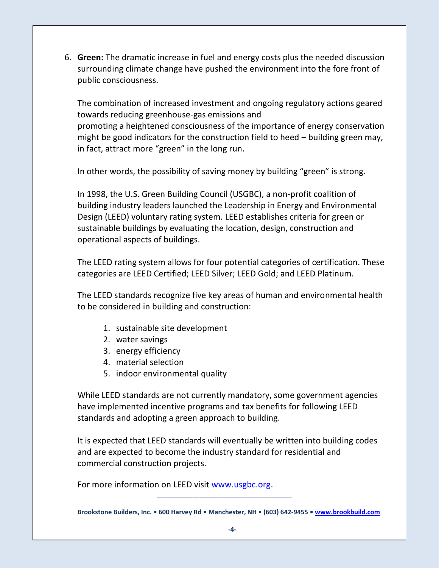6. **Green:** The dramatic increase in fuel and energy costs plus the needed discussion surrounding climate change have pushed the environment into the fore front of public consciousness.

The combination of increased investment and ongoing regulatory actions geared towards reducing greenhouse-gas emissions and promoting a heightened consciousness of the importance of energy conservation might be good indicators for the construction field to heed – building green may, in fact, attract more "green" in the long run.

In other words, the possibility of saving money by building "green" is strong.

In 1998, the U.S. Green Building Council (USGBC), a non-profit coalition of building industry leaders launched the Leadership in Energy and Environmental Design (LEED) voluntary rating system. LEED establishes criteria for green or sustainable buildings by evaluating the location, design, construction and operational aspects of buildings.

The LEED rating system allows for four potential categories of certification. These categories are LEED Certified; LEED Silver; LEED Gold; and LEED Platinum.

The LEED standards recognize five key areas of human and environmental health to be considered in building and construction:

- 1. sustainable site development
- 2. water savings
- 3. energy efficiency
- 4. material selection
- 5. indoor environmental quality

While LEED standards are not currently mandatory, some government agencies have implemented incentive programs and tax benefits for following LEED standards and adopting a green approach to building.

It is expected that LEED standards will eventually be written into building codes and are expected to become the industry standard for residential and commercial construction projects.

For more information on LEED visit [www.usgbc.org](http://www.usgbc.org/).

 $\overline{\phantom{a}}$  ,  $\overline{\phantom{a}}$  ,  $\overline{\phantom{a}}$  ,  $\overline{\phantom{a}}$  ,  $\overline{\phantom{a}}$  ,  $\overline{\phantom{a}}$  ,  $\overline{\phantom{a}}$  ,  $\overline{\phantom{a}}$  ,  $\overline{\phantom{a}}$  ,  $\overline{\phantom{a}}$  ,  $\overline{\phantom{a}}$  ,  $\overline{\phantom{a}}$  ,  $\overline{\phantom{a}}$  ,  $\overline{\phantom{a}}$  ,  $\overline{\phantom{a}}$  ,  $\overline{\phantom{a}}$ 

**Brookstone Builders, Inc. • 600 Harvey Rd • Manchester, NH • (603) 642-9455 • [www.brookbuild.com](http://www.brookbuild.com/)**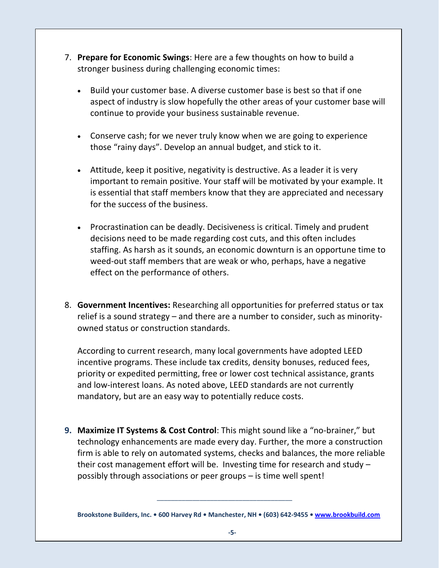- 7. **Prepare for Economic Swings**: Here are a few thoughts on how to build a stronger business during challenging economic times:
	- Build your customer base. A diverse customer base is best so that if one aspect of industry is slow hopefully the other areas of your customer base will continue to provide your business sustainable revenue.
	- Conserve cash; for we never truly know when we are going to experience those "rainy days". Develop an annual budget, and stick to it.
	- Attitude, keep it positive, negativity is destructive. As a leader it is very important to remain positive. Your staff will be motivated by your example. It is essential that staff members know that they are appreciated and necessary for the success of the business.
	- Procrastination can be deadly. Decisiveness is critical. Timely and prudent decisions need to be made regarding cost cuts, and this often includes staffing. As harsh as it sounds, an economic downturn is an opportune time to weed-out staff members that are weak or who, perhaps, have a negative effect on the performance of others.
- 8. **Government Incentives:** Researching all opportunities for preferred status or tax relief is a sound strategy – and there are a number to consider, such as minorityowned status or construction standards.

According to current research, many local governments have adopted LEED incentive programs. These include tax credits, density bonuses, reduced fees, priority or expedited permitting, free or lower cost technical assistance, grants and low-interest loans. As noted above, LEED standards are not currently mandatory, but are an easy way to potentially reduce costs.

**9. Maximize IT Systems & Cost Control**: This might sound like a "no-brainer," but technology enhancements are made every day. Further, the more a construction firm is able to rely on automated systems, checks and balances, the more reliable their cost management effort will be. Investing time for research and study – possibly through associations or peer groups – is time well spent!

**Brookstone Builders, Inc. • 600 Harvey Rd • Manchester, NH • (603) 642-9455 • [www.brookbuild.com](http://www.brookbuild.com/)**

 $\overline{\phantom{a}}$  ,  $\overline{\phantom{a}}$  ,  $\overline{\phantom{a}}$  ,  $\overline{\phantom{a}}$  ,  $\overline{\phantom{a}}$  ,  $\overline{\phantom{a}}$  ,  $\overline{\phantom{a}}$  ,  $\overline{\phantom{a}}$  ,  $\overline{\phantom{a}}$  ,  $\overline{\phantom{a}}$  ,  $\overline{\phantom{a}}$  ,  $\overline{\phantom{a}}$  ,  $\overline{\phantom{a}}$  ,  $\overline{\phantom{a}}$  ,  $\overline{\phantom{a}}$  ,  $\overline{\phantom{a}}$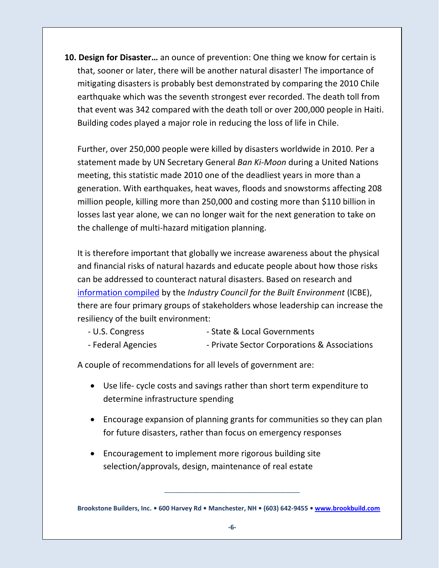**10. Design for Disaster…** an ounce of prevention: One thing we know for certain is that, sooner or later, there will be another natural disaster! The importance of mitigating disasters is probably best demonstrated by comparing the 2010 Chile earthquake which was the seventh strongest ever recorded. The death toll from that event was 342 compared with the death toll or over 200,000 people in Haiti. Building codes played a major role in reducing the loss of life in Chile.

Further, over 250,000 people were killed by disasters worldwide in 2010. Per a statement made by UN Secretary General *Ban Ki-Moon* during a United Nations meeting, this statistic made 2010 one of the deadliest years in more than a generation. With earthquakes, heat waves, floods and snowstorms affecting 208 million people, killing more than 250,000 and costing more than \$110 billion in losses last year alone, we can no longer wait for the next generation to take on the challenge of multi-hazard mitigation planning.

It is therefore important that globally we increase awareness about the physical and financial risks of natural hazards and educate people about how those risks can be addressed to counteract natural disasters. Based on research and [information compiled](http://www.nbm.org/) by the *Industry Council for the Built Environment* (ICBE), there are four primary groups of stakeholders whose leadership can increase the resiliency of the built environment:

- U.S. Congress State & Local Governments
- Federal Agencies Private Sector Corporations & Associations

A couple of recommendations for all levels of government are:

- Use life- cycle costs and savings rather than short term expenditure to determine infrastructure spending
- Encourage expansion of planning grants for communities so they can plan for future disasters, rather than focus on emergency responses
- Encouragement to implement more rigorous building site selection/approvals, design, maintenance of real estate

**Brookstone Builders, Inc. • 600 Harvey Rd • Manchester, NH • (603) 642-9455 • [www.brookbuild.com](http://www.brookbuild.com/)**